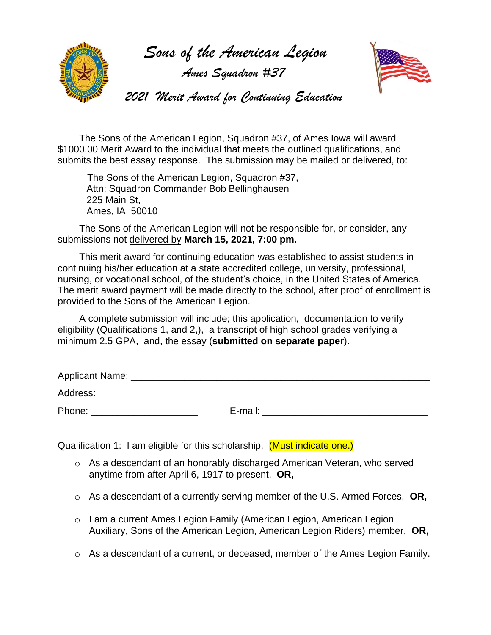

 *Sons of the American Legion*

 *Ames Squadron #37*



 *2021 Merit Award for Continuing Education*

 The Sons of the American Legion, Squadron #37, of Ames Iowa will award \$1000.00 Merit Award to the individual that meets the outlined qualifications, and submits the best essay response. The submission may be mailed or delivered, to:

 The Sons of the American Legion, Squadron #37, Attn: Squadron Commander Bob Bellinghausen 225 Main St, Ames, IA 50010

 The Sons of the American Legion will not be responsible for, or consider, any submissions not delivered by **March 15, 2021, 7:00 pm.**

This merit award for continuing education was established to assist students in continuing his/her education at a state accredited college, university, professional, nursing, or vocational school, of the student's choice, in the United States of America. The merit award payment will be made directly to the school, after proof of enrollment is provided to the Sons of the American Legion.

 A complete submission will include; this application, documentation to verify eligibility (Qualifications 1, and 2,), a transcript of high school grades verifying a minimum 2.5 GPA, and, the essay (**submitted on separate paper**).

| Applicant Name: |         |  |
|-----------------|---------|--|
| Address:        |         |  |
| Phone:          | E-mail: |  |

Qualification 1: I am eligible for this scholarship, (Must indicate one.)

- o As a descendant of an honorably discharged American Veteran, who served anytime from after April 6, 1917 to present, **OR,**
- o As a descendant of a currently serving member of the U.S. Armed Forces, **OR,**
- o I am a current Ames Legion Family (American Legion, American Legion Auxiliary, Sons of the American Legion, American Legion Riders) member, **OR,**
- $\circ$  As a descendant of a current, or deceased, member of the Ames Legion Family.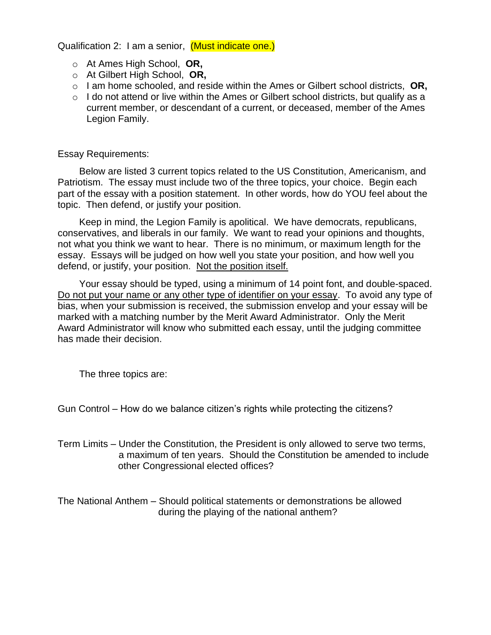Qualification 2: I am a senior, (Must indicate one.)

- o At Ames High School, **OR,**
- o At Gilbert High School, **OR,**
- o I am home schooled, and reside within the Ames or Gilbert school districts, **OR,**
- $\circ$  I do not attend or live within the Ames or Gilbert school districts, but qualify as a current member, or descendant of a current, or deceased, member of the Ames Legion Family.

Essay Requirements:

 Below are listed 3 current topics related to the US Constitution, Americanism, and Patriotism. The essay must include two of the three topics, your choice. Begin each part of the essay with a position statement. In other words, how do YOU feel about the topic. Then defend, or justify your position.

 Keep in mind, the Legion Family is apolitical. We have democrats, republicans, conservatives, and liberals in our family. We want to read your opinions and thoughts, not what you think we want to hear. There is no minimum, or maximum length for the essay. Essays will be judged on how well you state your position, and how well you defend, or justify, your position. Not the position itself.

 Your essay should be typed, using a minimum of 14 point font, and double-spaced. Do not put your name or any other type of identifier on your essay. To avoid any type of bias, when your submission is received, the submission envelop and your essay will be marked with a matching number by the Merit Award Administrator. Only the Merit Award Administrator will know who submitted each essay, until the judging committee has made their decision.

The three topics are:

Gun Control – How do we balance citizen's rights while protecting the citizens?

Term Limits – Under the Constitution, the President is only allowed to serve two terms, a maximum of ten years. Should the Constitution be amended to include other Congressional elected offices?

The National Anthem – Should political statements or demonstrations be allowed during the playing of the national anthem?